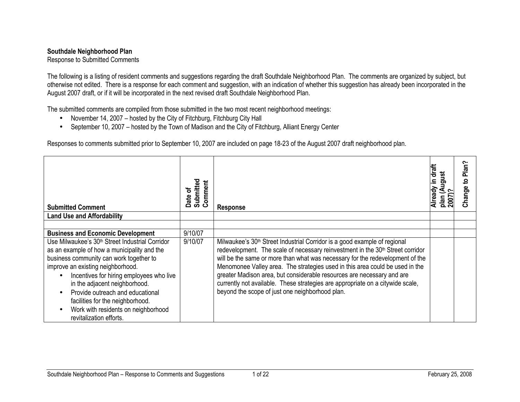## Southdale Neighborhood Plan

Response to Submitted Comments

The following is a listing of resident comments and suggestions regarding the draft Southdale Neighborhood Plan. The comments are organized by subject, but otherwise not edited. There is a response for each comment and suggestion, with an indication of whether this suggestion has already been incorporated in the August 2007 draft, or if it will be incorporated in the next revised draft Southdale Neighborhood Plan.

The submitted comments are compiled from those submitted in the two most recent neighborhood meetings:

- November 14, 2007 hosted by the City of Fitchburg, Fitchburg City Hall
- September 10, 2007 hosted by the Town of Madison and the City of Fitchburg, Alliant Energy Center

Responses to comments submitted prior to September 10, 2007 are included on page 18-23 of the August 2007 draft neighborhood plan.

| <b>Submitted Comment</b>                                                                                                                                                                                                                                                                                                                                                                                          | Submitted<br>Comment<br>ㅎ<br>Date | <b>Response</b>                                                                                                                                                                                                                                                                                                                                                                                                                                                                                                                                                     | Already in draft<br>ugust<br>2007)?<br>plan | Plan?<br><u>۽</u><br>Change <sup>®</sup> |
|-------------------------------------------------------------------------------------------------------------------------------------------------------------------------------------------------------------------------------------------------------------------------------------------------------------------------------------------------------------------------------------------------------------------|-----------------------------------|---------------------------------------------------------------------------------------------------------------------------------------------------------------------------------------------------------------------------------------------------------------------------------------------------------------------------------------------------------------------------------------------------------------------------------------------------------------------------------------------------------------------------------------------------------------------|---------------------------------------------|------------------------------------------|
| <b>Land Use and Affordability</b>                                                                                                                                                                                                                                                                                                                                                                                 |                                   |                                                                                                                                                                                                                                                                                                                                                                                                                                                                                                                                                                     |                                             |                                          |
|                                                                                                                                                                                                                                                                                                                                                                                                                   |                                   |                                                                                                                                                                                                                                                                                                                                                                                                                                                                                                                                                                     |                                             |                                          |
| <b>Business and Economic Development</b>                                                                                                                                                                                                                                                                                                                                                                          | 9/10/07                           |                                                                                                                                                                                                                                                                                                                                                                                                                                                                                                                                                                     |                                             |                                          |
| Use Milwaukee's 30 <sup>th</sup> Street Industrial Corridor<br>as an example of how a municipality and the<br>business community can work together to<br>improve an existing neighborhood.<br>Incentives for hiring employees who live<br>in the adjacent neighborhood.<br>Provide outreach and educational<br>facilities for the neighborhood.<br>Work with residents on neighborhood<br>revitalization efforts. | 9/10/07                           | Milwaukee's 30 <sup>th</sup> Street Industrial Corridor is a good example of regional<br>redevelopment. The scale of necessary reinvestment in the 30 <sup>th</sup> Street corridor<br>will be the same or more than what was necessary for the redevelopment of the<br>Menomonee Valley area. The strategies used in this area could be used in the<br>greater Madison area, but considerable resources are necessary and are<br>currently not available. These strategies are appropriate on a citywide scale,<br>beyond the scope of just one neighborhood plan. |                                             |                                          |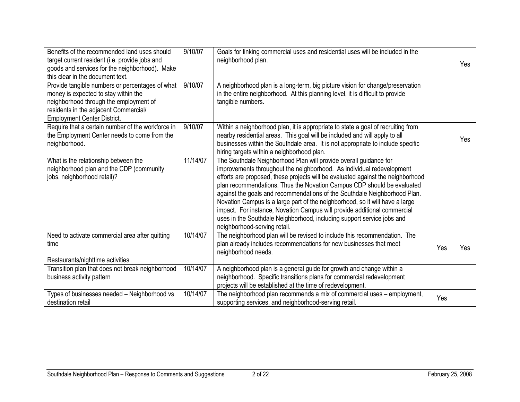| Benefits of the recommended land uses should<br>target current resident (i.e. provide jobs and<br>goods and services for the neighborhood). Make<br>this clear in the document text.                             | 9/10/07  | Goals for linking commercial uses and residential uses will be included in the<br>neighborhood plan.                                                                                                                                                                                                                                                                                                                                                                                                                                                                                                                                                       |     | Yes |
|------------------------------------------------------------------------------------------------------------------------------------------------------------------------------------------------------------------|----------|------------------------------------------------------------------------------------------------------------------------------------------------------------------------------------------------------------------------------------------------------------------------------------------------------------------------------------------------------------------------------------------------------------------------------------------------------------------------------------------------------------------------------------------------------------------------------------------------------------------------------------------------------------|-----|-----|
| Provide tangible numbers or percentages of what<br>money is expected to stay within the<br>neighborhood through the employment of<br>residents in the adjacent Commercial/<br><b>Employment Center District.</b> | 9/10/07  | A neighborhood plan is a long-term, big picture vision for change/preservation<br>in the entire neighborhood. At this planning level, it is difficult to provide<br>tangible numbers.                                                                                                                                                                                                                                                                                                                                                                                                                                                                      |     |     |
| Require that a certain number of the workforce in<br>the Employment Center needs to come from the<br>neighborhood.                                                                                               | 9/10/07  | Within a neighborhood plan, it is appropriate to state a goal of recruiting from<br>nearby residential areas. This goal will be included and will apply to all<br>businesses within the Southdale area. It is not appropriate to include specific<br>hiring targets within a neighborhood plan.                                                                                                                                                                                                                                                                                                                                                            |     | Yes |
| What is the relationship between the<br>neighborhood plan and the CDP (community<br>jobs, neighborhood retail)?                                                                                                  | 11/14/07 | The Southdale Neighborhood Plan will provide overall guidance for<br>improvements throughout the neighborhood. As individual redevelopment<br>efforts are proposed, these projects will be evaluated against the neighborhood<br>plan recommendations. Thus the Novation Campus CDP should be evaluated<br>against the goals and recommendations of the Southdale Neighborhood Plan.<br>Novation Campus is a large part of the neighborhood, so it will have a large<br>impact. For instance, Novation Campus will provide additional commercial<br>uses in the Southdale Neighborhood, including support service jobs and<br>neighborhood-serving retail. |     |     |
| Need to activate commercial area after quitting<br>time<br>Restaurants/nighttime activities                                                                                                                      | 10/14/07 | The neighborhood plan will be revised to include this recommendation. The<br>plan already includes recommendations for new businesses that meet<br>neighborhood needs.                                                                                                                                                                                                                                                                                                                                                                                                                                                                                     | Yes | Yes |
| Transition plan that does not break neighborhood<br>business activity pattern                                                                                                                                    | 10/14/07 | A neighborhood plan is a general guide for growth and change within a<br>neighborhood. Specific transitions plans for commercial redevelopment<br>projects will be established at the time of redevelopment.                                                                                                                                                                                                                                                                                                                                                                                                                                               |     |     |
| Types of businesses needed - Neighborhood vs<br>destination retail                                                                                                                                               | 10/14/07 | The neighborhood plan recommends a mix of commercial uses - employment,<br>supporting services, and neighborhood-serving retail.                                                                                                                                                                                                                                                                                                                                                                                                                                                                                                                           | Yes |     |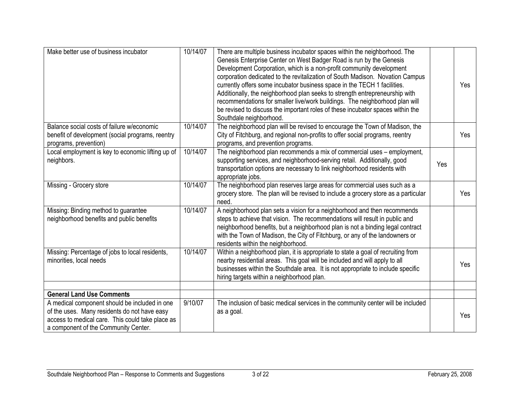| Make better use of business incubator                                                                                                    | 10/14/07 | There are multiple business incubator spaces within the neighborhood. The<br>Genesis Enterprise Center on West Badger Road is run by the Genesis<br>Development Corporation, which is a non-profit community development<br>corporation dedicated to the revitalization of South Madison. Novation Campus<br>currently offers some incubator business space in the TECH 1 facilities.<br>Additionally, the neighborhood plan seeks to strength entrepreneurship with<br>recommendations for smaller live/work buildings. The neighborhood plan will<br>be revised to discuss the important roles of these incubator spaces within the<br>Southdale neighborhood. |     | Yes        |
|------------------------------------------------------------------------------------------------------------------------------------------|----------|------------------------------------------------------------------------------------------------------------------------------------------------------------------------------------------------------------------------------------------------------------------------------------------------------------------------------------------------------------------------------------------------------------------------------------------------------------------------------------------------------------------------------------------------------------------------------------------------------------------------------------------------------------------|-----|------------|
| Balance social costs of failure w/economic<br>benefit of development (social programs, reentry<br>programs, prevention)                  | 10/14/07 | The neighborhood plan will be revised to encourage the Town of Madison, the<br>City of Fitchburg, and regional non-profits to offer social programs, reentry<br>programs, and prevention programs.                                                                                                                                                                                                                                                                                                                                                                                                                                                               |     | Yes        |
| Local employment is key to economic lifting up of<br>neighbors.                                                                          | 10/14/07 | The neighborhood plan recommends a mix of commercial uses - employment,<br>supporting services, and neighborhood-serving retail. Additionally, good<br>transportation options are necessary to link neighborhood residents with<br>appropriate jobs.                                                                                                                                                                                                                                                                                                                                                                                                             | Yes |            |
| Missing - Grocery store                                                                                                                  | 10/14/07 | The neighborhood plan reserves large areas for commercial uses such as a<br>grocery store. The plan will be revised to include a grocery store as a particular<br>need.                                                                                                                                                                                                                                                                                                                                                                                                                                                                                          |     | <b>Yes</b> |
| Missing: Binding method to guarantee<br>neighborhood benefits and public benefits                                                        | 10/14/07 | A neighborhood plan sets a vision for a neighborhood and then recommends<br>steps to achieve that vision. The recommendations will result in public and<br>neighborhood benefits, but a neighborhood plan is not a binding legal contract<br>with the Town of Madison, the City of Fitchburg, or any of the landowners or<br>residents within the neighborhood.                                                                                                                                                                                                                                                                                                  |     |            |
| Missing: Percentage of jobs to local residents,<br>minorities, local needs                                                               | 10/14/07 | Within a neighborhood plan, it is appropriate to state a goal of recruiting from<br>nearby residential areas. This goal will be included and will apply to all<br>businesses within the Southdale area. It is not appropriate to include specific<br>hiring targets within a neighborhood plan.                                                                                                                                                                                                                                                                                                                                                                  |     | Yes        |
| <b>General Land Use Comments</b>                                                                                                         |          |                                                                                                                                                                                                                                                                                                                                                                                                                                                                                                                                                                                                                                                                  |     |            |
| A medical component should be included in one                                                                                            | 9/10/07  | The inclusion of basic medical services in the community center will be included                                                                                                                                                                                                                                                                                                                                                                                                                                                                                                                                                                                 |     |            |
| of the uses. Many residents do not have easy<br>access to medical care. This could take place as<br>a component of the Community Center. |          | as a goal.                                                                                                                                                                                                                                                                                                                                                                                                                                                                                                                                                                                                                                                       |     | Yes        |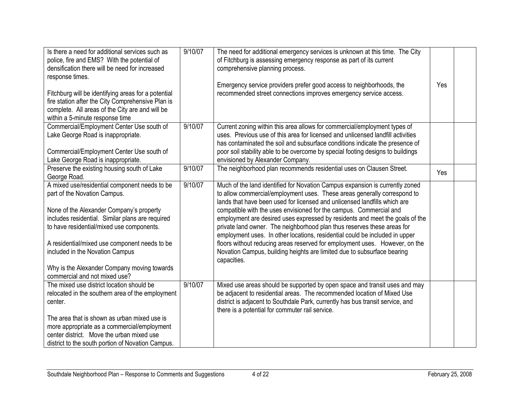| Is there a need for additional services such as<br>police, fire and EMS? With the potential of<br>densification there will be need for increased<br>response times.                                                                                                                                                                                                                            | 9/10/07 | The need for additional emergency services is unknown at this time. The City<br>of Fitchburg is assessing emergency response as part of its current<br>comprehensive planning process.<br>Emergency service providers prefer good access to neighborhoods, the                                                                                                                                                                                                                                                                                                                                                                                                                                                                 | Yes |  |
|------------------------------------------------------------------------------------------------------------------------------------------------------------------------------------------------------------------------------------------------------------------------------------------------------------------------------------------------------------------------------------------------|---------|--------------------------------------------------------------------------------------------------------------------------------------------------------------------------------------------------------------------------------------------------------------------------------------------------------------------------------------------------------------------------------------------------------------------------------------------------------------------------------------------------------------------------------------------------------------------------------------------------------------------------------------------------------------------------------------------------------------------------------|-----|--|
| Fitchburg will be identifying areas for a potential<br>fire station after the City Comprehensive Plan is<br>complete. All areas of the City are and will be<br>within a 5-minute response time                                                                                                                                                                                                 |         | recommended street connections improves emergency service access.                                                                                                                                                                                                                                                                                                                                                                                                                                                                                                                                                                                                                                                              |     |  |
| Commercial/Employment Center Use south of<br>Lake George Road is inappropriate.<br>Commercial/Employment Center Use south of<br>Lake George Road is inappropriate.                                                                                                                                                                                                                             | 9/10/07 | Current zoning within this area allows for commercial/employment types of<br>uses. Previous use of this area for licensed and unlicensed landfill activities<br>has contaminated the soil and subsurface conditions indicate the presence of<br>poor soil stability able to be overcome by special footing designs to buildings<br>envisioned by Alexander Company.                                                                                                                                                                                                                                                                                                                                                            |     |  |
| Preserve the existing housing south of Lake<br>George Road.                                                                                                                                                                                                                                                                                                                                    | 9/10/07 | The neighborhood plan recommends residential uses on Clausen Street.                                                                                                                                                                                                                                                                                                                                                                                                                                                                                                                                                                                                                                                           | Yes |  |
| A mixed use/residential component needs to be<br>part of the Novation Campus.<br>None of the Alexander Company's property<br>includes residential. Similar plans are required<br>to have residential/mixed use components.<br>A residential/mixed use component needs to be<br>included in the Novation Campus<br>Why is the Alexander Company moving towards<br>commercial and not mixed use? | 9/10/07 | Much of the land identified for Novation Campus expansion is currently zoned<br>to allow commercial/employment uses. These areas generally correspond to<br>lands that have been used for licensed and unlicensed landfills which are<br>compatible with the uses envisioned for the campus. Commercial and<br>employment are desired uses expressed by residents and meet the goals of the<br>private land owner. The neighborhood plan thus reserves these areas for<br>employment uses. In other locations, residential could be included in upper<br>floors without reducing areas reserved for employment uses. However, on the<br>Novation Campus, building heights are limited due to subsurface bearing<br>capacities. |     |  |
| The mixed use district location should be<br>relocated in the southern area of the employment<br>center.<br>The area that is shown as urban mixed use is<br>more appropriate as a commercial/employment<br>center district. Move the urban mixed use<br>district to the south portion of Novation Campus.                                                                                      | 9/10/07 | Mixed use areas should be supported by open space and transit uses and may<br>be adjacent to residential areas. The recommended location of Mixed Use<br>district is adjacent to Southdale Park, currently has bus transit service, and<br>there is a potential for commuter rail service.                                                                                                                                                                                                                                                                                                                                                                                                                                     |     |  |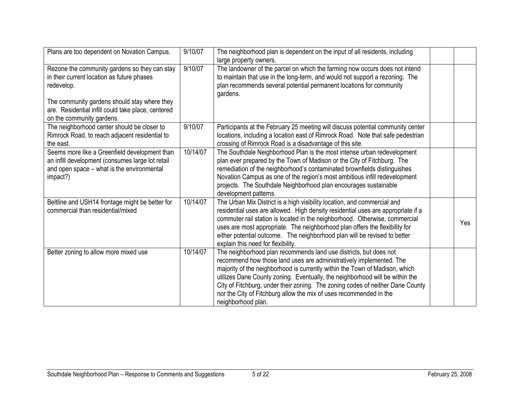| Plans are too dependent on Novation Campus.                                                                                                                 | 9/10/07  | The neighborhood plan is dependent on the input of all residents, including<br>large property owners.                                                                                                                                                                                                                                                                                                                                                                                 |     |
|-------------------------------------------------------------------------------------------------------------------------------------------------------------|----------|---------------------------------------------------------------------------------------------------------------------------------------------------------------------------------------------------------------------------------------------------------------------------------------------------------------------------------------------------------------------------------------------------------------------------------------------------------------------------------------|-----|
| Rezone the community gardens so they can stay<br>in their current location as future phases<br>redevelop.<br>The community gardens should stay where they   | 9/10/07  | The landowner of the parcel on which the farming now occurs does not intend<br>to maintain that use in the long-term, and would not support a rezoning. The<br>plan recommends several potential permanent locations for community<br>gardens.                                                                                                                                                                                                                                        |     |
| are. Residential infill could take place, centered<br>on the community gardens.                                                                             |          |                                                                                                                                                                                                                                                                                                                                                                                                                                                                                       |     |
| The neighborhood center should be closer to<br>Rimrock Road, to reach adjacent residential to<br>the east.                                                  | 9/10/07  | Participants at the February 25 meeting will discuss potential community center<br>locations, including a location east of Rimrock Road. Note that safe pedestrian<br>crossing of Rimrock Road is a disadvantage of this site.                                                                                                                                                                                                                                                        |     |
| Seems more like a Greenfield development than<br>an infill development (consumes large lot retail<br>and open space - what is the environmental<br>impact?) | 10/14/07 | The Southdale Neighborhood Plan is the most intense urban redevelopment<br>plan ever prepared by the Town of Madison or the City of Fitchburg. The<br>remediation of the neighborhood's contaminated brownfields distinguishes<br>Novation Campus as one of the region's most ambitious infill redevelopment<br>projects. The Southdale Neighborhood plan encourages sustainable<br>development patterns.                                                                             |     |
| Beltline and USH14 frontage might be better for<br>commercial than residential/mixed                                                                        | 10/14/07 | The Urban Mix District is a high visibility location, and commercial and<br>residential uses are allowed. High density residential uses are appropriate if a<br>commuter rail station is located in the neighborhood. Otherwise, commercial<br>uses are most appropriate. The neighborhood plan offers the flexibility for<br>either potential outcome. The neighborhood plan will be revised to better<br>explain this need for flexibility.                                         | Yes |
| Better zoning to allow more mixed use                                                                                                                       | 10/14/07 | The neighborhood plan recommends land use districts, but does not<br>recommend how those land uses are administratively implemented. The<br>majority of the neighborhood is currently within the Town of Madison, which<br>utilizes Dane County zoning. Eventually, the neighborhood will be within the<br>City of Fitchburg, under their zoning. The zoning codes of neither Dane County<br>nor the City of Fitchburg allow the mix of uses recommended in the<br>neighborhood plan. |     |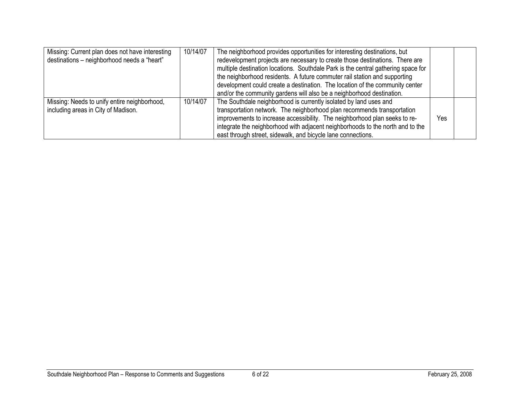| Missing: Current plan does not have interesting<br>destinations - neighborhood needs a "heart" | 10/14/07 | The neighborhood provides opportunities for interesting destinations, but<br>redevelopment projects are necessary to create those destinations. There are<br>multiple destination locations. Southdale Park is the central gathering space for<br>the neighborhood residents. A future commuter rail station and supporting<br>development could create a destination. The location of the community center                                           |     |  |
|------------------------------------------------------------------------------------------------|----------|-------------------------------------------------------------------------------------------------------------------------------------------------------------------------------------------------------------------------------------------------------------------------------------------------------------------------------------------------------------------------------------------------------------------------------------------------------|-----|--|
| Missing: Needs to unify entire neighborhood,<br>including areas in City of Madison.            | 10/14/07 | and/or the community gardens will also be a neighborhood destination.<br>The Southdale neighborhood is currently isolated by land uses and<br>transportation network. The neighborhood plan recommends transportation<br>improvements to increase accessibility. The neighborhood plan seeks to re-<br>integrate the neighborhood with adjacent neighborhoods to the north and to the<br>east through street, sidewalk, and bicycle lane connections. | Yes |  |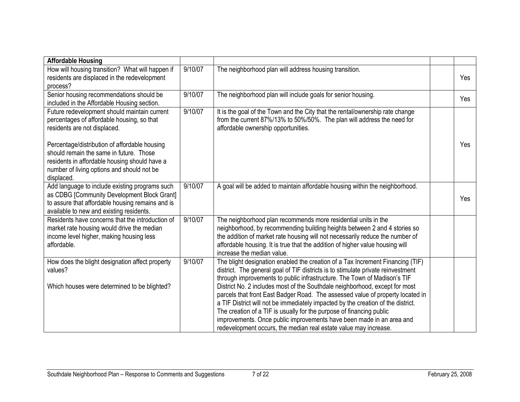| <b>Affordable Housing</b>                        |         |                                                                                  |     |
|--------------------------------------------------|---------|----------------------------------------------------------------------------------|-----|
| How will housing transition? What will happen if | 9/10/07 | The neighborhood plan will address housing transition.                           |     |
| residents are displaced in the redevelopment     |         |                                                                                  | Yes |
| process?                                         |         |                                                                                  |     |
| Senior housing recommendations should be         | 9/10/07 | The neighborhood plan will include goals for senior housing.                     | Yes |
| included in the Affordable Housing section.      |         |                                                                                  |     |
| Future redevelopment should maintain current     | 9/10/07 | It is the goal of the Town and the City that the rental/ownership rate change    |     |
| percentages of affordable housing, so that       |         | from the current 87%/13% to 50%/50%. The plan will address the need for          |     |
| residents are not displaced.                     |         | affordable ownership opportunities.                                              |     |
|                                                  |         |                                                                                  |     |
| Percentage/distribution of affordable housing    |         |                                                                                  | Yes |
| should remain the same in future. Those          |         |                                                                                  |     |
| residents in affordable housing should have a    |         |                                                                                  |     |
| number of living options and should not be       |         |                                                                                  |     |
| displaced.                                       |         |                                                                                  |     |
| Add language to include existing programs such   | 9/10/07 | A goal will be added to maintain affordable housing within the neighborhood.     |     |
| as CDBG [Community Development Block Grant]      |         |                                                                                  | Yes |
| to assure that affordable housing remains and is |         |                                                                                  |     |
| available to new and existing residents.         |         |                                                                                  |     |
| Residents have concerns that the introduction of | 9/10/07 | The neighborhood plan recommends more residential units in the                   |     |
| market rate housing would drive the median       |         | neighborhood, by recommending building heights between 2 and 4 stories so        |     |
| income level higher, making housing less         |         | the addition of market rate housing will not necessarily reduce the number of    |     |
| affordable.                                      |         | affordable housing. It is true that the addition of higher value housing will    |     |
|                                                  |         | increase the median value.                                                       |     |
| How does the blight designation affect property  | 9/10/07 | The blight designation enabled the creation of a Tax Increment Financing (TIF)   |     |
| values?                                          |         | district. The general goal of TIF districts is to stimulate private reinvestment |     |
|                                                  |         | through improvements to public infrastructure. The Town of Madison's TIF         |     |
| Which houses were determined to be blighted?     |         | District No. 2 includes most of the Southdale neighborhood, except for most      |     |
|                                                  |         | parcels that front East Badger Road. The assessed value of property located in   |     |
|                                                  |         | a TIF District will not be immediately impacted by the creation of the district. |     |
|                                                  |         | The creation of a TIF is usually for the purpose of financing public             |     |
|                                                  |         | improvements. Once public improvements have been made in an area and             |     |
|                                                  |         | redevelopment occurs, the median real estate value may increase.                 |     |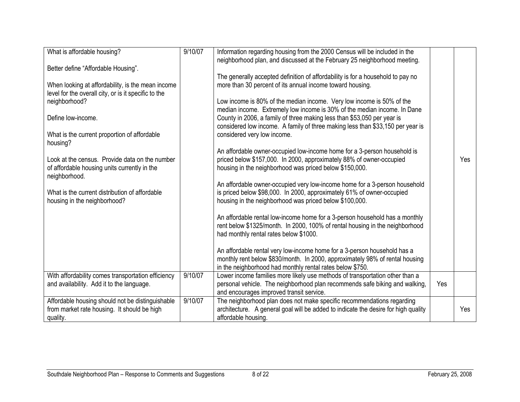| What is affordable housing?                          | 9/10/07 | Information regarding housing from the 2000 Census will be included in the         |     |     |
|------------------------------------------------------|---------|------------------------------------------------------------------------------------|-----|-----|
|                                                      |         | neighborhood plan, and discussed at the February 25 neighborhood meeting.          |     |     |
| Better define "Affordable Housing".                  |         |                                                                                    |     |     |
|                                                      |         | The generally accepted definition of affordability is for a household to pay no    |     |     |
| When looking at affordability, is the mean income    |         | more than 30 percent of its annual income toward housing.                          |     |     |
| level for the overall city, or is it specific to the |         |                                                                                    |     |     |
| neighborhood?                                        |         | Low income is 80% of the median income. Very low income is 50% of the              |     |     |
|                                                      |         | median income. Extremely low income is 30% of the median income. In Dane           |     |     |
| Define low-income.                                   |         | County in 2006, a family of three making less than \$53,050 per year is            |     |     |
|                                                      |         | considered low income. A family of three making less than \$33,150 per year is     |     |     |
|                                                      |         |                                                                                    |     |     |
| What is the current proportion of affordable         |         | considered very low income.                                                        |     |     |
| housing?                                             |         |                                                                                    |     |     |
|                                                      |         | An affordable owner-occupied low-income home for a 3-person household is           |     |     |
| Look at the census. Provide data on the number       |         | priced below \$157,000. In 2000, approximately 88% of owner-occupied               |     | Yes |
| of affordable housing units currently in the         |         | housing in the neighborhood was priced below \$150,000.                            |     |     |
| neighborhood.                                        |         |                                                                                    |     |     |
|                                                      |         | An affordable owner-occupied very low-income home for a 3-person household         |     |     |
| What is the current distribution of affordable       |         | is priced below \$98,000. In 2000, approximately 61% of owner-occupied             |     |     |
| housing in the neighborhood?                         |         | housing in the neighborhood was priced below \$100,000.                            |     |     |
|                                                      |         |                                                                                    |     |     |
|                                                      |         | An affordable rental low-income home for a 3-person household has a monthly        |     |     |
|                                                      |         | rent below \$1325/month. In 2000, 100% of rental housing in the neighborhood       |     |     |
|                                                      |         | had monthly rental rates below \$1000.                                             |     |     |
|                                                      |         |                                                                                    |     |     |
|                                                      |         | An affordable rental very low-income home for a 3-person household has a           |     |     |
|                                                      |         | monthly rent below \$830/month. In 2000, approximately 98% of rental housing       |     |     |
|                                                      |         | in the neighborhood had monthly rental rates below \$750.                          |     |     |
| With affordability comes transportation efficiency   | 9/10/07 | Lower income families more likely use methods of transportation other than a       |     |     |
| and availability. Add it to the language.            |         | personal vehicle. The neighborhood plan recommends safe biking and walking,        | Yes |     |
|                                                      |         |                                                                                    |     |     |
|                                                      |         | and encourages improved transit service.                                           |     |     |
| Affordable housing should not be distinguishable     | 9/10/07 | The neighborhood plan does not make specific recommendations regarding             |     |     |
| from market rate housing. It should be high          |         | architecture. A general goal will be added to indicate the desire for high quality |     | Yes |
| quality.                                             |         | affordable housing.                                                                |     |     |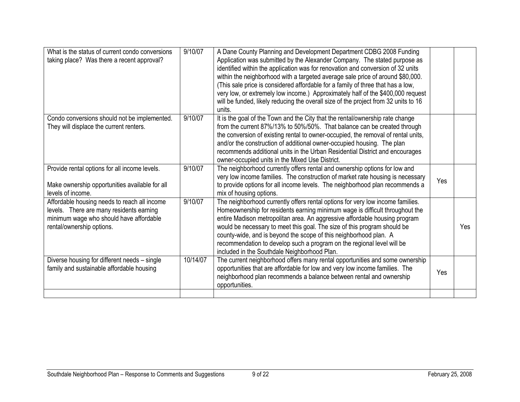| What is the status of current condo conversions<br>taking place? Was there a recent approval?                                                                    | 9/10/07  | A Dane County Planning and Development Department CDBG 2008 Funding<br>Application was submitted by the Alexander Company. The stated purpose as<br>identified within the application was for renovation and conversion of 32 units<br>within the neighborhood with a targeted average sale price of around \$80,000.<br>(This sale price is considered affordable for a family of three that has a low,<br>very low, or extremely low income.) Approximately half of the \$400,000 request<br>will be funded, likely reducing the overall size of the project from 32 units to 16<br>units. |     |      |
|------------------------------------------------------------------------------------------------------------------------------------------------------------------|----------|----------------------------------------------------------------------------------------------------------------------------------------------------------------------------------------------------------------------------------------------------------------------------------------------------------------------------------------------------------------------------------------------------------------------------------------------------------------------------------------------------------------------------------------------------------------------------------------------|-----|------|
| Condo conversions should not be implemented.<br>They will displace the current renters.                                                                          | 9/10/07  | It is the goal of the Town and the City that the rental/ownership rate change<br>from the current 87%/13% to 50%/50%. That balance can be created through<br>the conversion of existing rental to owner-occupied, the removal of rental units,<br>and/or the construction of additional owner-occupied housing. The plan<br>recommends additional units in the Urban Residential District and encourages<br>owner-occupied units in the Mixed Use District.                                                                                                                                  |     |      |
| Provide rental options for all income levels.<br>Make ownership opportunities available for all<br>levels of income.                                             | 9/10/07  | The neighborhood currently offers rental and ownership options for low and<br>very low income families. The construction of market rate housing is necessary<br>to provide options for all income levels. The neighborhood plan recommends a<br>mix of housing options.                                                                                                                                                                                                                                                                                                                      | Yes |      |
| Affordable housing needs to reach all income<br>levels. There are many residents earning<br>minimum wage who should have affordable<br>rental/ownership options. | 9/10/07  | The neighborhood currently offers rental options for very low income families.<br>Homeownership for residents earning minimum wage is difficult throughout the<br>entire Madison metropolitan area. An aggressive affordable housing program<br>would be necessary to meet this goal. The size of this program should be<br>county-wide, and is beyond the scope of this neighborhood plan. A<br>recommendation to develop such a program on the regional level will be<br>included in the Southdale Neighborhood Plan.                                                                      |     | Yes. |
| Diverse housing for different needs - single<br>family and sustainable affordable housing                                                                        | 10/14/07 | The current neighborhood offers many rental opportunities and some ownership<br>opportunities that are affordable for low and very low income families. The<br>neighborhood plan recommends a balance between rental and ownership<br>opportunities.                                                                                                                                                                                                                                                                                                                                         | Yes |      |
|                                                                                                                                                                  |          |                                                                                                                                                                                                                                                                                                                                                                                                                                                                                                                                                                                              |     |      |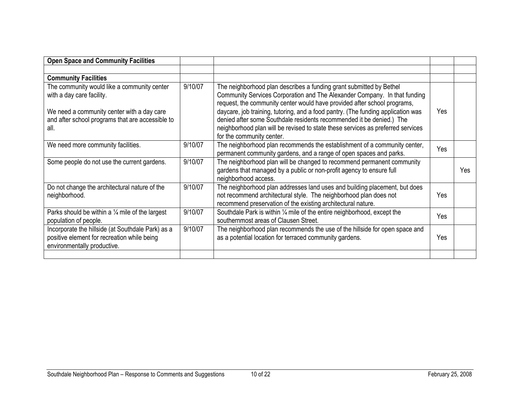| <b>Open Space and Community Facilities</b>                                                                                                                                         |         |                                                                                                                                                                                                                                                                                                                                                                                                                                                                                                          |      |     |
|------------------------------------------------------------------------------------------------------------------------------------------------------------------------------------|---------|----------------------------------------------------------------------------------------------------------------------------------------------------------------------------------------------------------------------------------------------------------------------------------------------------------------------------------------------------------------------------------------------------------------------------------------------------------------------------------------------------------|------|-----|
|                                                                                                                                                                                    |         |                                                                                                                                                                                                                                                                                                                                                                                                                                                                                                          |      |     |
| <b>Community Facilities</b>                                                                                                                                                        |         |                                                                                                                                                                                                                                                                                                                                                                                                                                                                                                          |      |     |
| The community would like a community center<br>with a day care facility.<br>We need a community center with a day care<br>and after school programs that are accessible to<br>all. | 9/10/07 | The neighborhood plan describes a funding grant submitted by Bethel<br>Community Services Corporation and The Alexander Company. In that funding<br>request, the community center would have provided after school programs,<br>daycare, job training, tutoring, and a food pantry. (The funding application was<br>denied after some Southdale residents recommended it be denied.) The<br>neighborhood plan will be revised to state these services as preferred services<br>for the community center. | Yes. |     |
| We need more community facilities.                                                                                                                                                 | 9/10/07 | The neighborhood plan recommends the establishment of a community center,<br>permanent community gardens, and a range of open spaces and parks.                                                                                                                                                                                                                                                                                                                                                          | Yes  |     |
| Some people do not use the current gardens.                                                                                                                                        | 9/10/07 | The neighborhood plan will be changed to recommend permanent community<br>gardens that managed by a public or non-profit agency to ensure full<br>neighborhood access.                                                                                                                                                                                                                                                                                                                                   |      | Yes |
| Do not change the architectural nature of the<br>neighborhood.                                                                                                                     | 9/10/07 | The neighborhood plan addresses land uses and building placement, but does<br>not recommend architectural style. The neighborhood plan does not<br>recommend preservation of the existing architectural nature.                                                                                                                                                                                                                                                                                          | Yes  |     |
| Parks should be within a $\frac{1}{4}$ mile of the largest<br>population of people.                                                                                                | 9/10/07 | Southdale Park is within 1/4 mile of the entire neighborhood, except the<br>southernmost areas of Clausen Street.                                                                                                                                                                                                                                                                                                                                                                                        | Yes  |     |
| Incorporate the hillside (at Southdale Park) as a<br>positive element for recreation while being<br>environmentally productive.                                                    | 9/10/07 | The neighborhood plan recommends the use of the hillside for open space and<br>as a potential location for terraced community gardens.                                                                                                                                                                                                                                                                                                                                                                   | Yes  |     |
|                                                                                                                                                                                    |         |                                                                                                                                                                                                                                                                                                                                                                                                                                                                                                          |      |     |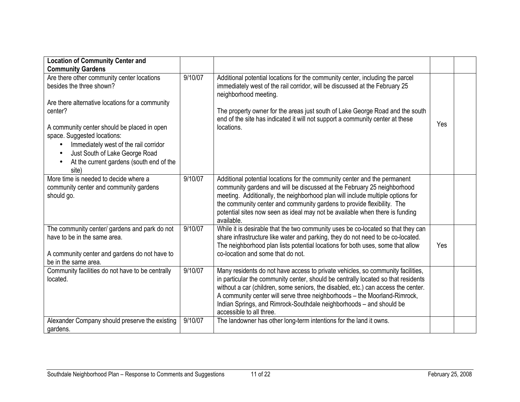| <b>Location of Community Center and</b>                                                                                                                     |         |                                                                                                                                                                                                                                                                                                                                                                                                                                           |     |  |
|-------------------------------------------------------------------------------------------------------------------------------------------------------------|---------|-------------------------------------------------------------------------------------------------------------------------------------------------------------------------------------------------------------------------------------------------------------------------------------------------------------------------------------------------------------------------------------------------------------------------------------------|-----|--|
| <b>Community Gardens</b>                                                                                                                                    |         |                                                                                                                                                                                                                                                                                                                                                                                                                                           |     |  |
| Are there other community center locations<br>besides the three shown?<br>Are there alternative locations for a community                                   | 9/10/07 | Additional potential locations for the community center, including the parcel<br>immediately west of the rail corridor, will be discussed at the February 25<br>neighborhood meeting.                                                                                                                                                                                                                                                     |     |  |
| center?<br>A community center should be placed in open                                                                                                      |         | The property owner for the areas just south of Lake George Road and the south<br>end of the site has indicated it will not support a community center at these<br>locations.                                                                                                                                                                                                                                                              | Yes |  |
| space. Suggested locations:<br>Immediately west of the rail corridor<br>Just South of Lake George Road<br>At the current gardens (south end of the<br>site) |         |                                                                                                                                                                                                                                                                                                                                                                                                                                           |     |  |
| More time is needed to decide where a<br>community center and community gardens<br>should go.                                                               | 9/10/07 | Additional potential locations for the community center and the permanent<br>community gardens and will be discussed at the February 25 neighborhood<br>meeting. Additionally, the neighborhood plan will include multiple options for<br>the community center and community gardens to provide flexibility. The<br>potential sites now seen as ideal may not be available when there is funding<br>available.                            |     |  |
| The community center/ gardens and park do not<br>have to be in the same area.<br>A community center and gardens do not have to<br>be in the same area.      | 9/10/07 | While it is desirable that the two community uses be co-located so that they can<br>share infrastructure like water and parking, they do not need to be co-located.<br>The neighborhood plan lists potential locations for both uses, some that allow<br>co-location and some that do not.                                                                                                                                                | Yes |  |
| Community facilities do not have to be centrally<br>located.                                                                                                | 9/10/07 | Many residents do not have access to private vehicles, so community facilities,<br>in particular the community center, should be centrally located so that residents<br>without a car (children, some seniors, the disabled, etc.) can access the center.<br>A community center will serve three neighborhoods - the Moorland-Rimrock,<br>Indian Springs, and Rimrock-Southdale neighborhoods - and should be<br>accessible to all three. |     |  |
| Alexander Company should preserve the existing<br>gardens.                                                                                                  | 9/10/07 | The landowner has other long-term intentions for the land it owns.                                                                                                                                                                                                                                                                                                                                                                        |     |  |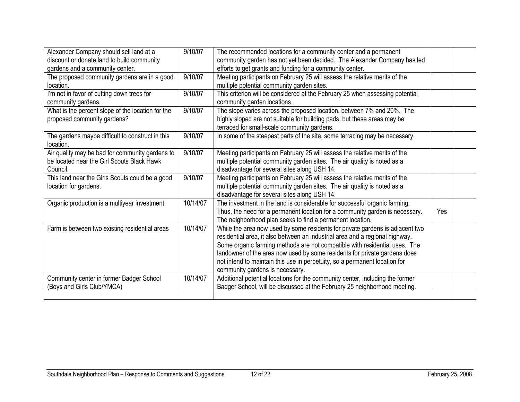| Alexander Company should sell land at a           | 9/10/07  | The recommended locations for a community center and a permanent              |            |  |
|---------------------------------------------------|----------|-------------------------------------------------------------------------------|------------|--|
| discount or donate land to build community        |          | community garden has not yet been decided. The Alexander Company has led      |            |  |
| gardens and a community center.                   |          | efforts to get grants and funding for a community center.                     |            |  |
| The proposed community gardens are in a good      | 9/10/07  | Meeting participants on February 25 will assess the relative merits of the    |            |  |
| location.                                         |          | multiple potential community garden sites.                                    |            |  |
| I'm not in favor of cutting down trees for        | 9/10/07  | This criterion will be considered at the February 25 when assessing potential |            |  |
| community gardens.                                |          | community garden locations.                                                   |            |  |
| What is the percent slope of the location for the | 9/10/07  | The slope varies across the proposed location, between 7% and 20%. The        |            |  |
| proposed community gardens?                       |          | highly sloped are not suitable for building pads, but these areas may be      |            |  |
|                                                   |          | terraced for small-scale community gardens.                                   |            |  |
| The gardens maybe difficult to construct in this  | 9/10/07  | In some of the steepest parts of the site, some terracing may be necessary.   |            |  |
| location.                                         |          |                                                                               |            |  |
| Air quality may be bad for community gardens to   | 9/10/07  | Meeting participants on February 25 will assess the relative merits of the    |            |  |
| be located near the Girl Scouts Black Hawk        |          | multiple potential community garden sites. The air quality is noted as a      |            |  |
| Council.                                          |          | disadvantage for several sites along USH 14.                                  |            |  |
| This land near the Girls Scouts could be a good   | 9/10/07  | Meeting participants on February 25 will assess the relative merits of the    |            |  |
| location for gardens.                             |          | multiple potential community garden sites. The air quality is noted as a      |            |  |
|                                                   |          | disadvantage for several sites along USH 14.                                  |            |  |
| Organic production is a multiyear investment      | 10/14/07 | The investment in the land is considerable for successful organic farming.    |            |  |
|                                                   |          | Thus, the need for a permanent location for a community garden is necessary.  | <b>Yes</b> |  |
|                                                   |          | The neighborhood plan seeks to find a permanent location.                     |            |  |
| Farm is between two existing residential areas    | 10/14/07 | While the area now used by some residents for private gardens is adjacent two |            |  |
|                                                   |          | residential area, it also between an industrial area and a regional highway.  |            |  |
|                                                   |          | Some organic farming methods are not compatible with residential uses. The    |            |  |
|                                                   |          | landowner of the area now used by some residents for private gardens does     |            |  |
|                                                   |          | not intend to maintain this use in perpetuity, so a permanent location for    |            |  |
|                                                   |          | community gardens is necessary.                                               |            |  |
| Community center in former Badger School          | 10/14/07 | Additional potential locations for the community center, including the former |            |  |
| (Boys and Girls Club/YMCA)                        |          | Badger School, will be discussed at the February 25 neighborhood meeting.     |            |  |
|                                                   |          |                                                                               |            |  |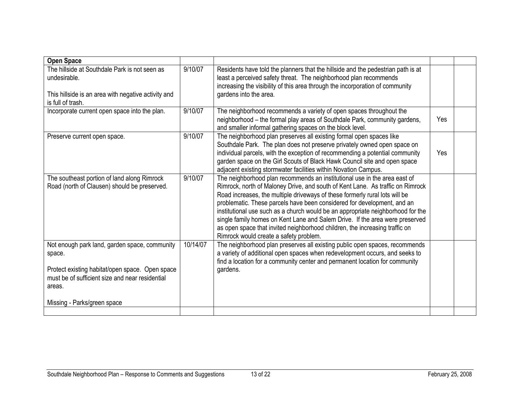| <b>Open Space</b>                                                                                                                                                       |          |                                                                                                                                                                                                                                                                                                                                                                                                                                                                                                                                                                                                                   |     |  |
|-------------------------------------------------------------------------------------------------------------------------------------------------------------------------|----------|-------------------------------------------------------------------------------------------------------------------------------------------------------------------------------------------------------------------------------------------------------------------------------------------------------------------------------------------------------------------------------------------------------------------------------------------------------------------------------------------------------------------------------------------------------------------------------------------------------------------|-----|--|
| The hillside at Southdale Park is not seen as<br>undesirable.<br>This hillside is an area with negative activity and<br>is full of trash.                               | 9/10/07  | Residents have told the planners that the hillside and the pedestrian path is at<br>least a perceived safety threat. The neighborhood plan recommends<br>increasing the visibility of this area through the incorporation of community<br>gardens into the area.                                                                                                                                                                                                                                                                                                                                                  |     |  |
| Incorporate current open space into the plan.                                                                                                                           | 9/10/07  | The neighborhood recommends a variety of open spaces throughout the<br>neighborhood - the formal play areas of Southdale Park, community gardens,<br>and smaller informal gathering spaces on the block level.                                                                                                                                                                                                                                                                                                                                                                                                    | Yes |  |
| Preserve current open space.                                                                                                                                            | 9/10/07  | The neighborhood plan preserves all existing formal open spaces like<br>Southdale Park. The plan does not preserve privately owned open space on<br>individual parcels, with the exception of recommending a potential community<br>garden space on the Girl Scouts of Black Hawk Council site and open space<br>adjacent existing stormwater facilities within Novation Campus.                                                                                                                                                                                                                                  | Yes |  |
| The southeast portion of land along Rimrock<br>Road (north of Clausen) should be preserved.                                                                             | 9/10/07  | The neighborhood plan recommends an institutional use in the area east of<br>Rimrock, north of Maloney Drive, and south of Kent Lane. As traffic on Rimrock<br>Road increases, the multiple driveways of these formerly rural lots will be<br>problematic. These parcels have been considered for development, and an<br>institutional use such as a church would be an appropriate neighborhood for the<br>single family homes on Kent Lane and Salem Drive. If the area were preserved<br>as open space that invited neighborhood children, the increasing traffic on<br>Rimrock would create a safety problem. |     |  |
| Not enough park land, garden space, community<br>space.<br>Protect existing habitat/open space. Open space<br>must be of sufficient size and near residential<br>areas. | 10/14/07 | The neighborhood plan preserves all existing public open spaces, recommends<br>a variety of additional open spaces when redevelopment occurs, and seeks to<br>find a location for a community center and permanent location for community<br>gardens.                                                                                                                                                                                                                                                                                                                                                             |     |  |
| Missing - Parks/green space                                                                                                                                             |          |                                                                                                                                                                                                                                                                                                                                                                                                                                                                                                                                                                                                                   |     |  |
|                                                                                                                                                                         |          |                                                                                                                                                                                                                                                                                                                                                                                                                                                                                                                                                                                                                   |     |  |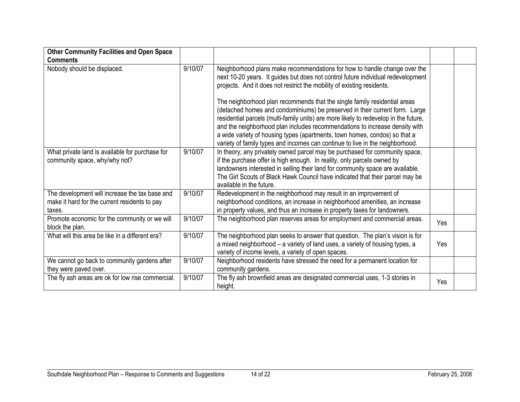| <b>Other Community Facilities and Open Space</b>                                                          |         |                                                                                                                                                                                                                                                                                                                                                                                                                                                                                                                                                                                                                                                          |     |  |
|-----------------------------------------------------------------------------------------------------------|---------|----------------------------------------------------------------------------------------------------------------------------------------------------------------------------------------------------------------------------------------------------------------------------------------------------------------------------------------------------------------------------------------------------------------------------------------------------------------------------------------------------------------------------------------------------------------------------------------------------------------------------------------------------------|-----|--|
| <b>Comments</b>                                                                                           |         |                                                                                                                                                                                                                                                                                                                                                                                                                                                                                                                                                                                                                                                          |     |  |
| Nobody should be displaced.                                                                               | 9/10/07 | Neighborhood plans make recommendations for how to handle change over the<br>next 10-20 years. It guides but does not control future individual redevelopment<br>projects. And it does not restrict the mobility of existing residents.<br>The neighborhood plan recommends that the single family residential areas<br>(detached homes and condominiums) be preserved in their current form. Large<br>residential parcels (multi-family units) are more likely to redevelop in the future,<br>and the neighborhood plan includes recommendations to increase density with<br>a wide variety of housing types (apartments, town homes, condos) so that a |     |  |
|                                                                                                           |         | variety of family types and incomes can continue to live in the neighborhood.                                                                                                                                                                                                                                                                                                                                                                                                                                                                                                                                                                            |     |  |
| What private land is available for purchase for<br>community space, why/why not?                          | 9/10/07 | In theory, any privately owned parcel may be purchased for community space,<br>if the purchase offer is high enough. In reality, only parcels owned by<br>landowners interested in selling their land for community space are available.<br>The Girl Scouts of Black Hawk Council have indicated that their parcel may be<br>available in the future.                                                                                                                                                                                                                                                                                                    |     |  |
| The development will increase the tax base and<br>make it hard for the current residents to pay<br>taxes. | 9/10/07 | Redevelopment in the neighborhood may result in an improvement of<br>neighborhood conditions, an increase in neighborhood amenities, an increase<br>in property values, and thus an increase in property taxes for landowners.                                                                                                                                                                                                                                                                                                                                                                                                                           |     |  |
| Promote economic for the community or we will<br>block the plan.                                          | 9/10/07 | The neighborhood plan reserves areas for employment and commercial areas.                                                                                                                                                                                                                                                                                                                                                                                                                                                                                                                                                                                | Yes |  |
| What will this area be like in a different era?                                                           | 9/10/07 | The neighborhood plan seeks to answer that question. The plan's vision is for<br>a mixed neighborhood - a variety of land uses, a variety of housing types, a<br>variety of income levels, a variety of open spaces.                                                                                                                                                                                                                                                                                                                                                                                                                                     | Yes |  |
| We cannot go back to community gardens after<br>they were paved over.                                     | 9/10/07 | Neighborhood residents have stressed the need for a permanent location for<br>community gardens.                                                                                                                                                                                                                                                                                                                                                                                                                                                                                                                                                         |     |  |
| The fly ash areas are ok for low rise commercial.                                                         | 9/10/07 | The fly ash brownfield areas are designated commercial uses, 1-3 stories in<br>height.                                                                                                                                                                                                                                                                                                                                                                                                                                                                                                                                                                   | Yes |  |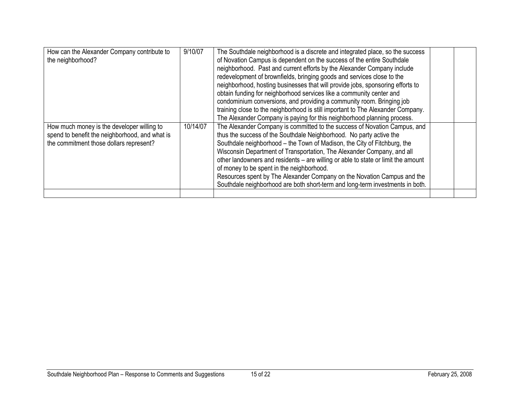| 10/14/07<br>spend to benefit the neighborhood, and what is<br>thus the success of the Southdale Neighborhood. No party active the<br>Southdale neighborhood - the Town of Madison, the City of Fitchburg, the<br>the commitment those dollars represent?<br>Wisconsin Department of Transportation, The Alexander Company, and all<br>other landowners and residents - are willing or able to state or limit the amount<br>of money to be spent in the neighborhood.<br>Resources spent by The Alexander Company on the Novation Campus and the<br>Southdale neighborhood are both short-term and long-term investments in both. | How can the Alexander Company contribute to<br>the neighborhood? | 9/10/07 | The Southdale neighborhood is a discrete and integrated place, so the success<br>of Novation Campus is dependent on the success of the entire Southdale<br>neighborhood. Past and current efforts by the Alexander Company include<br>redevelopment of brownfields, bringing goods and services close to the<br>neighborhood, hosting businesses that will provide jobs, sponsoring efforts to<br>obtain funding for neighborhood services like a community center and<br>condominium conversions, and providing a community room. Bringing job<br>training close to the neighborhood is still important to The Alexander Company.<br>The Alexander Company is paying for this neighborhood planning process. |  |
|----------------------------------------------------------------------------------------------------------------------------------------------------------------------------------------------------------------------------------------------------------------------------------------------------------------------------------------------------------------------------------------------------------------------------------------------------------------------------------------------------------------------------------------------------------------------------------------------------------------------------------|------------------------------------------------------------------|---------|---------------------------------------------------------------------------------------------------------------------------------------------------------------------------------------------------------------------------------------------------------------------------------------------------------------------------------------------------------------------------------------------------------------------------------------------------------------------------------------------------------------------------------------------------------------------------------------------------------------------------------------------------------------------------------------------------------------|--|
|                                                                                                                                                                                                                                                                                                                                                                                                                                                                                                                                                                                                                                  | How much money is the developer willing to                       |         | The Alexander Company is committed to the success of Novation Campus, and                                                                                                                                                                                                                                                                                                                                                                                                                                                                                                                                                                                                                                     |  |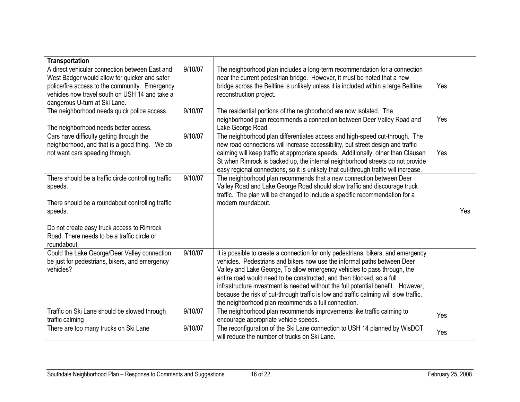| <b>Transportation</b>                                                                                                                                                                                                                      |         |                                                                                                                                                                                                                                                                                                                                                                                                                                                                                                                                                        |     |     |
|--------------------------------------------------------------------------------------------------------------------------------------------------------------------------------------------------------------------------------------------|---------|--------------------------------------------------------------------------------------------------------------------------------------------------------------------------------------------------------------------------------------------------------------------------------------------------------------------------------------------------------------------------------------------------------------------------------------------------------------------------------------------------------------------------------------------------------|-----|-----|
| A direct vehicular connection between East and<br>West Badger would allow for quicker and safer<br>police/fire access to the community. Emergency<br>vehicles now travel south on USH 14 and take a<br>dangerous U-turn at Ski Lane.       | 9/10/07 | The neighborhood plan includes a long-term recommendation for a connection<br>near the current pedestrian bridge. However, it must be noted that a new<br>bridge across the Beltline is unlikely unless it is included within a large Beltline<br>reconstruction project.                                                                                                                                                                                                                                                                              | Yes |     |
| The neighborhood needs quick police access.<br>The neighborhood needs better access.                                                                                                                                                       | 9/10/07 | The residential portions of the neighborhood are now isolated. The<br>neighborhood plan recommends a connection between Deer Valley Road and<br>Lake George Road.                                                                                                                                                                                                                                                                                                                                                                                      | Yes |     |
| Cars have difficulty getting through the<br>neighborhood, and that is a good thing. We do<br>not want cars speeding through.                                                                                                               | 9/10/07 | The neighborhood plan differentiates access and high-speed cut-through. The<br>new road connections will increase accessibility, but street design and traffic<br>calming will keep traffic at appropriate speeds. Additionally, other than Clausen<br>St when Rimrock is backed up, the internal neighborhood streets do not provide<br>easy regional connections, so it is unlikely that cut-through traffic will increase.                                                                                                                          | Yes |     |
| There should be a traffic circle controlling traffic<br>speeds.<br>There should be a roundabout controlling traffic<br>speeds.<br>Do not create easy truck access to Rimrock<br>Road. There needs to be a traffic circle or<br>roundabout. | 9/10/07 | The neighborhood plan recommends that a new connection between Deer<br>Valley Road and Lake George Road should slow traffic and discourage truck<br>traffic. The plan will be changed to include a specific recommendation for a<br>modern roundabout.                                                                                                                                                                                                                                                                                                 |     | Yes |
| Could the Lake George/Deer Valley connection<br>be just for pedestrians, bikers, and emergency<br>vehicles?                                                                                                                                | 9/10/07 | It is possible to create a connection for only pedestrians, bikers, and emergency<br>vehicles. Pedestrians and bikers now use the informal paths between Deer<br>Valley and Lake George, To allow emergency vehicles to pass through, the<br>entire road would need to be constructed, and then blocked, so a full<br>infrastructure investment is needed without the full potential benefit. However,<br>because the risk of cut-through traffic is low and traffic calming will slow traffic,<br>the neighborhood plan recommends a full connection. |     |     |
| Traffic on Ski Lane should be slowed through<br>traffic calming                                                                                                                                                                            | 9/10/07 | The neighborhood plan recommends improvements like traffic calming to<br>encourage appropriate vehicle speeds.                                                                                                                                                                                                                                                                                                                                                                                                                                         | Yes |     |
| There are too many trucks on Ski Lane                                                                                                                                                                                                      | 9/10/07 | The reconfiguration of the Ski Lane connection to USH 14 planned by WisDOT<br>will reduce the number of trucks on Ski Lane.                                                                                                                                                                                                                                                                                                                                                                                                                            | Yes |     |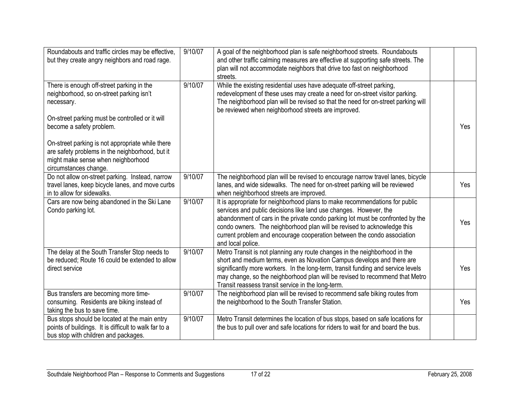| Roundabouts and traffic circles may be effective,<br>but they create angry neighbors and road rage.                                                                   | 9/10/07 | A goal of the neighborhood plan is safe neighborhood streets. Roundabouts<br>and other traffic calming measures are effective at supporting safe streets. The<br>plan will not accommodate neighbors that drive too fast on neighborhood<br>streets.                                                                                                                                                          |     |
|-----------------------------------------------------------------------------------------------------------------------------------------------------------------------|---------|---------------------------------------------------------------------------------------------------------------------------------------------------------------------------------------------------------------------------------------------------------------------------------------------------------------------------------------------------------------------------------------------------------------|-----|
| There is enough off-street parking in the<br>neighborhood, so on-street parking isn't<br>necessary.<br>On-street parking must be controlled or it will                | 9/10/07 | While the existing residential uses have adequate off-street parking,<br>redevelopment of these uses may create a need for on-street visitor parking.<br>The neighborhood plan will be revised so that the need for on-street parking will<br>be reviewed when neighborhood streets are improved.                                                                                                             |     |
| become a safety problem.<br>On-street parking is not appropriate while there<br>are safety problems in the neighborhood, but it<br>might make sense when neighborhood |         |                                                                                                                                                                                                                                                                                                                                                                                                               | Yes |
| circumstances change.                                                                                                                                                 |         |                                                                                                                                                                                                                                                                                                                                                                                                               |     |
| Do not allow on-street parking. Instead, narrow<br>travel lanes, keep bicycle lanes, and move curbs<br>in to allow for sidewalks.                                     | 9/10/07 | The neighborhood plan will be revised to encourage narrow travel lanes, bicycle<br>lanes, and wide sidewalks. The need for on-street parking will be reviewed<br>when neighborhood streets are improved.                                                                                                                                                                                                      | Yes |
| Cars are now being abandoned in the Ski Lane<br>Condo parking lot.                                                                                                    | 9/10/07 | It is appropriate for neighborhood plans to make recommendations for public<br>services and public decisions like land use changes. However, the<br>abandonment of cars in the private condo parking lot must be confronted by the<br>condo owners. The neighborhood plan will be revised to acknowledge this<br>current problem and encourage cooperation between the condo association<br>and local police. | Yes |
| The delay at the South Transfer Stop needs to<br>be reduced; Route 16 could be extended to allow<br>direct service                                                    | 9/10/07 | Metro Transit is not planning any route changes in the neighborhood in the<br>short and medium terms, even as Novation Campus develops and there are<br>significantly more workers. In the long-term, transit funding and service levels<br>may change, so the neighborhood plan will be revised to recommend that Metro<br>Transit reassess transit service in the long-term.                                | Yes |
| Bus transfers are becoming more time-<br>consuming. Residents are biking instead of<br>taking the bus to save time.                                                   | 9/10/07 | The neighborhood plan will be revised to recommend safe biking routes from<br>the neighborhood to the South Transfer Station.                                                                                                                                                                                                                                                                                 | Yes |
| Bus stops should be located at the main entry<br>points of buildings. It is difficult to walk far to a<br>bus stop with children and packages.                        | 9/10/07 | Metro Transit determines the location of bus stops, based on safe locations for<br>the bus to pull over and safe locations for riders to wait for and board the bus.                                                                                                                                                                                                                                          |     |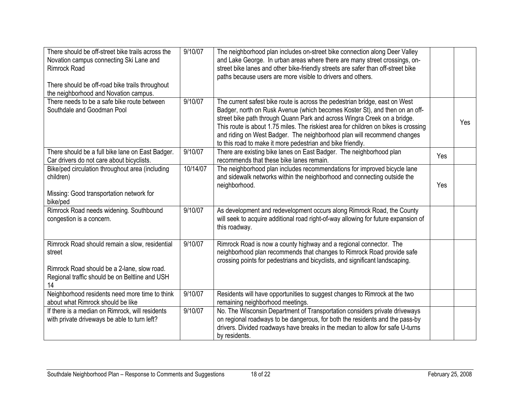| There should be off-street bike trails across the<br>Novation campus connecting Ski Lane and<br><b>Rimrock Road</b><br>There should be off-road bike trails throughout<br>the neighborhood and Novation campus. | 9/10/07  | The neighborhood plan includes on-street bike connection along Deer Valley<br>and Lake George. In urban areas where there are many street crossings, on-<br>street bike lanes and other bike-friendly streets are safer than off-street bike<br>paths because users are more visible to drivers and others.                                                                                                                                                            |     |     |
|-----------------------------------------------------------------------------------------------------------------------------------------------------------------------------------------------------------------|----------|------------------------------------------------------------------------------------------------------------------------------------------------------------------------------------------------------------------------------------------------------------------------------------------------------------------------------------------------------------------------------------------------------------------------------------------------------------------------|-----|-----|
| There needs to be a safe bike route between<br>Southdale and Goodman Pool                                                                                                                                       | 9/10/07  | The current safest bike route is across the pedestrian bridge, east on West<br>Badger, north on Rusk Avenue (which becomes Koster St), and then on an off-<br>street bike path through Quann Park and across Wingra Creek on a bridge.<br>This route is about 1.75 miles. The riskiest area for children on bikes is crossing<br>and riding on West Badger. The neighborhood plan will recommend changes<br>to this road to make it more pedestrian and bike friendly. |     | Yes |
| There should be a full bike lane on East Badger.<br>Car drivers do not care about bicyclists.                                                                                                                   | 9/10/07  | There are existing bike lanes on East Badger. The neighborhood plan<br>recommends that these bike lanes remain.                                                                                                                                                                                                                                                                                                                                                        | Yes |     |
| Bike/ped circulation throughout area (including<br>children)<br>Missing: Good transportation network for<br>bike/ped                                                                                            | 10/14/07 | The neighborhood plan includes recommendations for improved bicycle lane<br>and sidewalk networks within the neighborhood and connecting outside the<br>neighborhood.                                                                                                                                                                                                                                                                                                  | Yes |     |
| Rimrock Road needs widening. Southbound<br>congestion is a concern.                                                                                                                                             | 9/10/07  | As development and redevelopment occurs along Rimrock Road, the County<br>will seek to acquire additional road right-of-way allowing for future expansion of<br>this roadway.                                                                                                                                                                                                                                                                                          |     |     |
| Rimrock Road should remain a slow, residential<br>street<br>Rimrock Road should be a 2-lane, slow road.<br>Regional traffic should be on Beltline and USH<br>14                                                 | 9/10/07  | Rimrock Road is now a county highway and a regional connector. The<br>neighborhood plan recommends that changes to Rimrock Road provide safe<br>crossing points for pedestrians and bicyclists, and significant landscaping.                                                                                                                                                                                                                                           |     |     |
| Neighborhood residents need more time to think<br>about what Rimrock should be like                                                                                                                             | 9/10/07  | Residents will have opportunities to suggest changes to Rimrock at the two<br>remaining neighborhood meetings.                                                                                                                                                                                                                                                                                                                                                         |     |     |
| If there is a median on Rimrock, will residents<br>with private driveways be able to turn left?                                                                                                                 | 9/10/07  | No. The Wisconsin Department of Transportation considers private driveways<br>on regional roadways to be dangerous, for both the residents and the pass-by<br>drivers. Divided roadways have breaks in the median to allow for safe U-turns<br>by residents.                                                                                                                                                                                                           |     |     |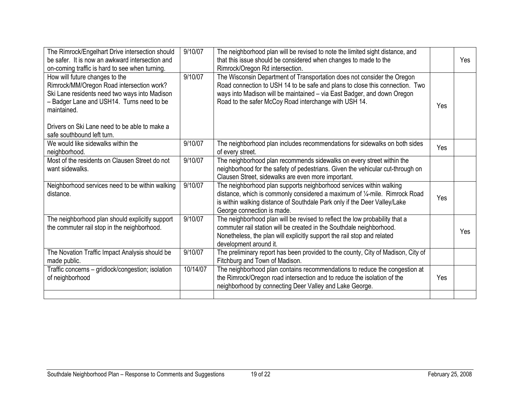| The Rimrock/Engelhart Drive intersection should<br>be safer. It is now an awkward intersection and<br>on-coming traffic is hard to see when turning.                                                                                                                    | 9/10/07  | The neighborhood plan will be revised to note the limited sight distance, and<br>that this issue should be considered when changes to made to the<br>Rimrock/Oregon Rd intersection.                                                                                                        |     | Yes |
|-------------------------------------------------------------------------------------------------------------------------------------------------------------------------------------------------------------------------------------------------------------------------|----------|---------------------------------------------------------------------------------------------------------------------------------------------------------------------------------------------------------------------------------------------------------------------------------------------|-----|-----|
| How will future changes to the<br>Rimrock/MM/Oregon Road intersection work?<br>Ski Lane residents need two ways into Madison<br>- Badger Lane and USH14. Turns need to be<br>maintained.<br>Drivers on Ski Lane need to be able to make a<br>safe southbound left turn. | 9/10/07  | The Wisconsin Department of Transportation does not consider the Oregon<br>Road connection to USH 14 to be safe and plans to close this connection. Two<br>ways into Madison will be maintained - via East Badger, and down Oregon<br>Road to the safer McCoy Road interchange with USH 14. | Yes |     |
| We would like sidewalks within the<br>neighborhood.                                                                                                                                                                                                                     | 9/10/07  | The neighborhood plan includes recommendations for sidewalks on both sides<br>of every street.                                                                                                                                                                                              | Yes |     |
| Most of the residents on Clausen Street do not<br>want sidewalks.                                                                                                                                                                                                       | 9/10/07  | The neighborhood plan recommends sidewalks on every street within the<br>neighborhood for the safety of pedestrians. Given the vehicular cut-through on<br>Clausen Street, sidewalks are even more important.                                                                               |     |     |
| Neighborhood services need to be within walking<br>distance.                                                                                                                                                                                                            | 9/10/07  | The neighborhood plan supports neighborhood services within walking<br>distance, which is commonly considered a maximum of 1/4-mile. Rimrock Road<br>is within walking distance of Southdale Park only if the Deer Valley/Lake<br>George connection is made.                                | Yes |     |
| The neighborhood plan should explicitly support<br>the commuter rail stop in the neighborhood.                                                                                                                                                                          | 9/10/07  | The neighborhood plan will be revised to reflect the low probability that a<br>commuter rail station will be created in the Southdale neighborhood.<br>Nonetheless, the plan will explicitly support the rail stop and related<br>development around it.                                    |     | Yes |
| The Novation Traffic Impact Analysis should be<br>made public.                                                                                                                                                                                                          | 9/10/07  | The preliminary report has been provided to the county, City of Madison, City of<br>Fitchburg and Town of Madison.                                                                                                                                                                          |     |     |
| Traffic concerns - gridlock/congestion; isolation<br>of neighborhood                                                                                                                                                                                                    | 10/14/07 | The neighborhood plan contains recommendations to reduce the congestion at<br>the Rimrock/Oregon road intersection and to reduce the isolation of the<br>neighborhood by connecting Deer Valley and Lake George.                                                                            | Yes |     |
|                                                                                                                                                                                                                                                                         |          |                                                                                                                                                                                                                                                                                             |     |     |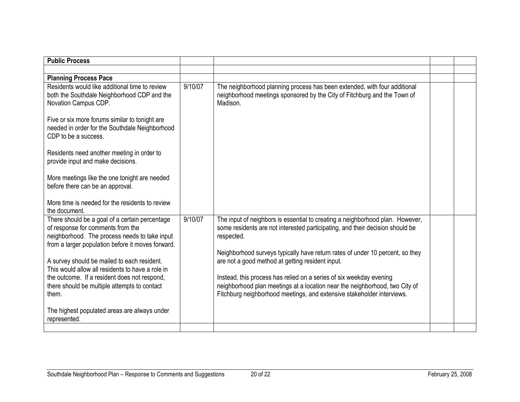| <b>Public Process</b>                                                                                                                                                                     |         |                                                                                                                                                                                                                              |  |
|-------------------------------------------------------------------------------------------------------------------------------------------------------------------------------------------|---------|------------------------------------------------------------------------------------------------------------------------------------------------------------------------------------------------------------------------------|--|
|                                                                                                                                                                                           |         |                                                                                                                                                                                                                              |  |
|                                                                                                                                                                                           |         |                                                                                                                                                                                                                              |  |
| <b>Planning Process Pace</b>                                                                                                                                                              |         |                                                                                                                                                                                                                              |  |
| Residents would like additional time to review<br>both the Southdale Neighborhood CDP and the<br>Novation Campus CDP.                                                                     | 9/10/07 | The neighborhood planning process has been extended, with four additional<br>neighborhood meetings sponsored by the City of Fitchburg and the Town of<br>Madison.                                                            |  |
|                                                                                                                                                                                           |         |                                                                                                                                                                                                                              |  |
| Five or six more forums similar to tonight are<br>needed in order for the Southdale Neighborhood<br>CDP to be a success.                                                                  |         |                                                                                                                                                                                                                              |  |
| Residents need another meeting in order to<br>provide input and make decisions.                                                                                                           |         |                                                                                                                                                                                                                              |  |
| More meetings like the one tonight are needed<br>before there can be an approval.                                                                                                         |         |                                                                                                                                                                                                                              |  |
| More time is needed for the residents to review<br>the document.                                                                                                                          |         |                                                                                                                                                                                                                              |  |
| There should be a goal of a certain percentage<br>of response for comments from the<br>neighborhood. The process needs to take input<br>from a larger population before it moves forward. | 9/10/07 | The input of neighbors is essential to creating a neighborhood plan. However,<br>some residents are not interested participating, and their decision should be<br>respected.                                                 |  |
| A survey should be mailed to each resident.<br>This would allow all residents to have a role in                                                                                           |         | Neighborhood surveys typically have return rates of under 10 percent, so they<br>are not a good method at getting resident input.                                                                                            |  |
| the outcome. If a resident does not respond,<br>there should be multiple attempts to contact<br>them.                                                                                     |         | Instead, this process has relied on a series of six weekday evening<br>neighborhood plan meetings at a location near the neighborhood, two City of<br>Fitchburg neighborhood meetings, and extensive stakeholder interviews. |  |
| The highest populated areas are always under<br>represented.                                                                                                                              |         |                                                                                                                                                                                                                              |  |
|                                                                                                                                                                                           |         |                                                                                                                                                                                                                              |  |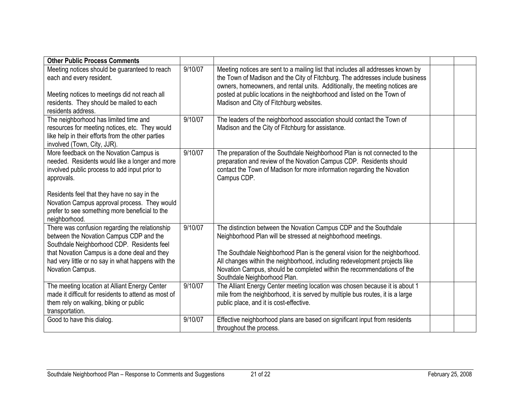| <b>Other Public Process Comments</b>                                                                                                                                        |         |                                                                                                                                                                                                                                                                     |  |
|-----------------------------------------------------------------------------------------------------------------------------------------------------------------------------|---------|---------------------------------------------------------------------------------------------------------------------------------------------------------------------------------------------------------------------------------------------------------------------|--|
| Meeting notices should be guaranteed to reach<br>each and every resident.                                                                                                   | 9/10/07 | Meeting notices are sent to a mailing list that includes all addresses known by<br>the Town of Madison and the City of Fitchburg. The addresses include business<br>owners, homeowners, and rental units. Additionally, the meeting notices are                     |  |
| Meeting notices to meetings did not reach all<br>residents. They should be mailed to each<br>residents address.                                                             |         | posted at public locations in the neighborhood and listed on the Town of<br>Madison and City of Fitchburg websites.                                                                                                                                                 |  |
| The neighborhood has limited time and<br>resources for meeting notices, etc. They would<br>like help in their efforts from the other parties<br>involved (Town, City, JJR). | 9/10/07 | The leaders of the neighborhood association should contact the Town of<br>Madison and the City of Fitchburg for assistance.                                                                                                                                         |  |
| More feedback on the Novation Campus is<br>needed. Residents would like a longer and more<br>involved public process to add input prior to<br>approvals.                    | 9/10/07 | The preparation of the Southdale Neighborhood Plan is not connected to the<br>preparation and review of the Novation Campus CDP. Residents should<br>contact the Town of Madison for more information regarding the Novation<br>Campus CDP.                         |  |
| Residents feel that they have no say in the<br>Novation Campus approval process. They would<br>prefer to see something more beneficial to the<br>neighborhood.              |         |                                                                                                                                                                                                                                                                     |  |
| There was confusion regarding the relationship<br>between the Novation Campus CDP and the<br>Southdale Neighborhood CDP. Residents feel                                     | 9/10/07 | The distinction between the Novation Campus CDP and the Southdale<br>Neighborhood Plan will be stressed at neighborhood meetings.                                                                                                                                   |  |
| that Novation Campus is a done deal and they<br>had very little or no say in what happens with the<br>Novation Campus.                                                      |         | The Southdale Neighborhood Plan is the general vision for the neighborhood.<br>All changes within the neighborhood, including redevelopment projects like<br>Novation Campus, should be completed within the recommendations of the<br>Southdale Neighborhood Plan. |  |
| The meeting location at Alliant Energy Center<br>made it difficult for residents to attend as most of<br>them rely on walking, biking or public<br>transportation.          | 9/10/07 | The Alliant Energy Center meeting location was chosen because it is about 1<br>mile from the neighborhood, it is served by multiple bus routes, it is a large<br>public place, and it is cost-effective.                                                            |  |
| Good to have this dialog.                                                                                                                                                   | 9/10/07 | Effective neighborhood plans are based on significant input from residents<br>throughout the process.                                                                                                                                                               |  |